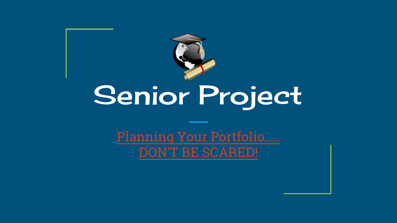

# Senior Project

Planning Your Portfolio..... **DON'T BE SCARED!**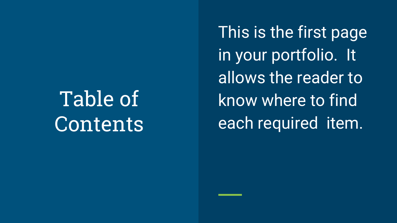Table of **Contents**  This is the first page in your portfolio. It allows the reader to know where to find each required item.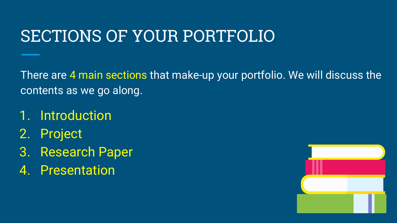## SECTIONS OF YOUR PORTFOLIO

There are 4 main sections that make-up your portfolio. We will discuss the contents as we go along.

- 1. Introduction
- 2. Project
- 3. Research Paper
- 4. Presentation

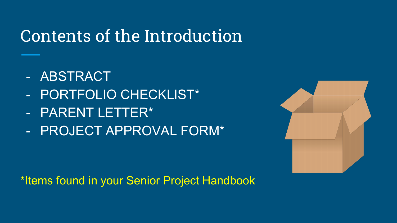## Contents of the Introduction

- ABSTRACT
- PORTFOLIO CHECKLIST\*
- PARENT LETTER\*
- PROJECT APPROVAL FORM\*



\*Items found in your Senior Project Handbook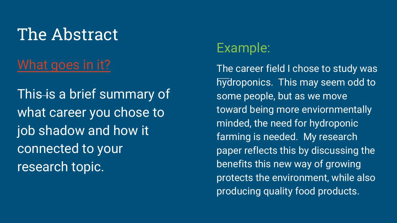# The Abstract

#### [What goes in it?](https://www.youtube.com/watch?v=Qw9oX-kZ_9k&feature=youtu.be)

This is a brief summary of what career you chose to job shadow and how it connected to your research topic.

#### Example:

The career field I chose to study was hydroponics. This may seem odd to some people, but as we move toward being more enviornmentally minded, the need for hydroponic farming is needed. My research paper reflects this by discussing the benefits this new way of growing protects the environment, while also producing quality food products.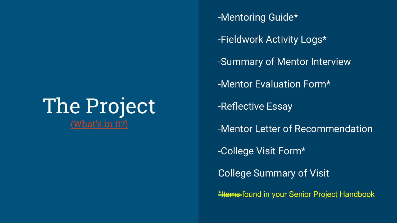## The Project [\(What's in it?\)](https://youtu.be/ZiYvxT_y-c4)

-Mentoring Guide\* -Fieldwork Activity Logs\* -Summary of Mentor Interview -Mentor Evaluation Form\* -Reflective Essay -Mentor Letter of Recommendation -College Visit Form\* College Summary of Visit **\*Items-found in your Senior Project Handbook**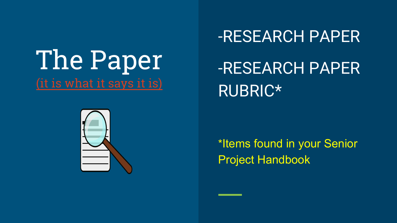# The Paper [\(it is what it says it is\)](https://youtu.be/Q0WLYeoUgcg)

# -RESEARCH PAPER -RESEARCH PAPER RUBRIC\*



\*Items found in your Senior Project Handbook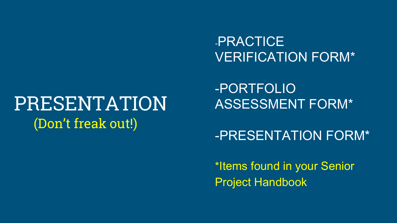#### -PRACTICE VERIFICATION FORM\*

# PRESENTATION (Don't freak out!)

-PORTFOLIO ASSESSMENT FORM\*

-PRESENTATION FORM\*

\*Items found in your Senior Project Handbook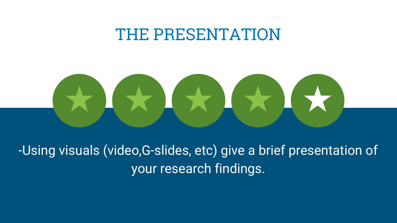### THE PRESENTATION

-Using visuals (video,G-slides, etc) give a brief presentation of your research findings.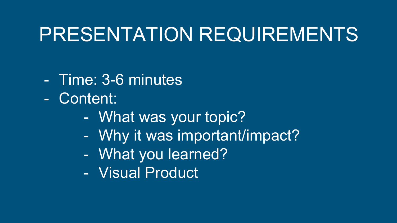# PRESENTATION REQUIREMENTS

- Time: 3-6 minutes
- Content:
	- What was your topic?
	- Why it was important/impact?
	- What you learned?
	- Visual Product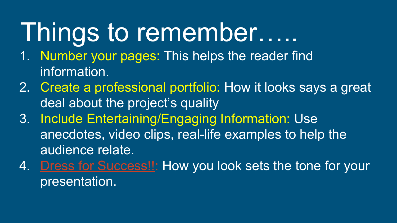# Things to remember…..

- 1. Number your pages: This helps the reader find information.
- 2. Create a professional portfolio: How it looks says a great deal about the project's quality
- 3. Include Entertaining/Engaging Information: Use anecdotes, video clips, real-life examples to help the audience relate.
- 4. [Dress for Success!!](https://youtu.be/MnoJdK8cmwQ): How you look sets the tone for your presentation.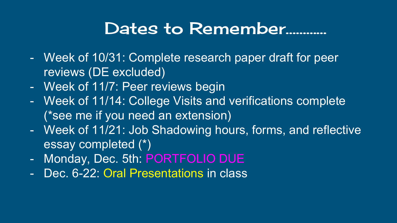## Dates to Remember…………

- Week of 10/31: Complete research paper draft for peer reviews (DE excluded)
- Week of 11/7: Peer reviews begin
- Week of 11/14: College Visits and verifications complete (\*see me if you need an extension)
- Week of 11/21: Job Shadowing hours, forms, and reflective essay completed (\*)
- Monday, Dec. 5th: PORTFOLIO DUE
- Dec. 6-22: Oral Presentations in class